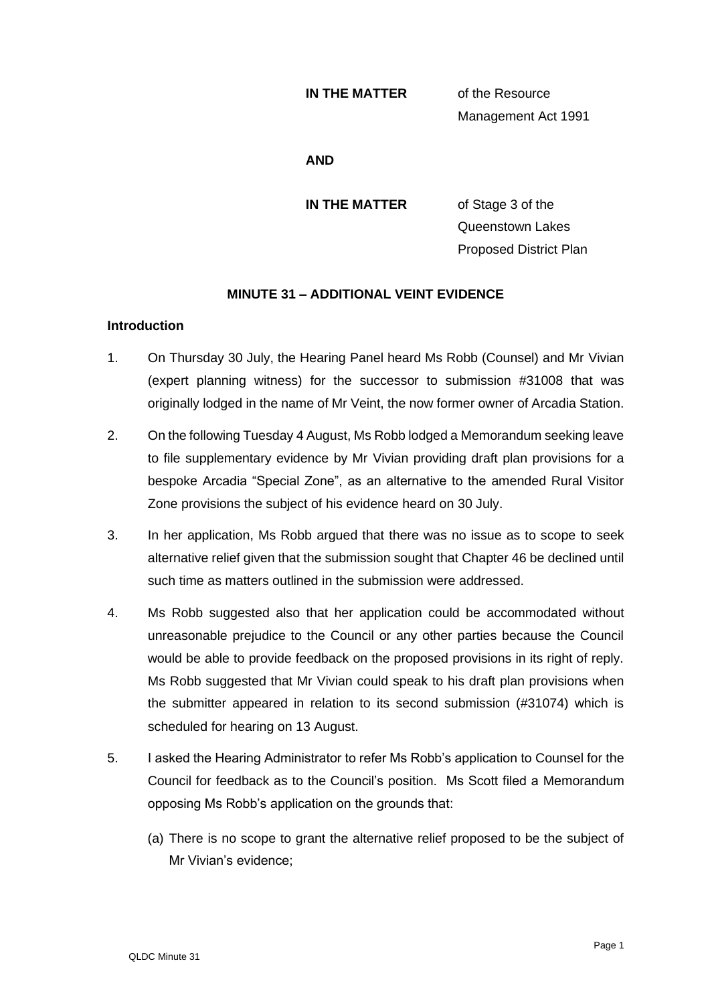#### **IN THE MATTER** of the Resource

Management Act 1991

#### **AND**

**IN THE MATTER** of Stage 3 of the Queenstown Lakes Proposed District Plan

# **MINUTE 31 – ADDITIONAL VEINT EVIDENCE**

# **Introduction**

- 1. On Thursday 30 July, the Hearing Panel heard Ms Robb (Counsel) and Mr Vivian (expert planning witness) for the successor to submission #31008 that was originally lodged in the name of Mr Veint, the now former owner of Arcadia Station.
- 2. On the following Tuesday 4 August, Ms Robb lodged a Memorandum seeking leave to file supplementary evidence by Mr Vivian providing draft plan provisions for a bespoke Arcadia "Special Zone", as an alternative to the amended Rural Visitor Zone provisions the subject of his evidence heard on 30 July.
- 3. In her application, Ms Robb argued that there was no issue as to scope to seek alternative relief given that the submission sought that Chapter 46 be declined until such time as matters outlined in the submission were addressed.
- 4. Ms Robb suggested also that her application could be accommodated without unreasonable prejudice to the Council or any other parties because the Council would be able to provide feedback on the proposed provisions in its right of reply. Ms Robb suggested that Mr Vivian could speak to his draft plan provisions when the submitter appeared in relation to its second submission (#31074) which is scheduled for hearing on 13 August.
- 5. I asked the Hearing Administrator to refer Ms Robb's application to Counsel for the Council for feedback as to the Council's position. Ms Scott filed a Memorandum opposing Ms Robb's application on the grounds that:
	- (a) There is no scope to grant the alternative relief proposed to be the subject of Mr Vivian's evidence;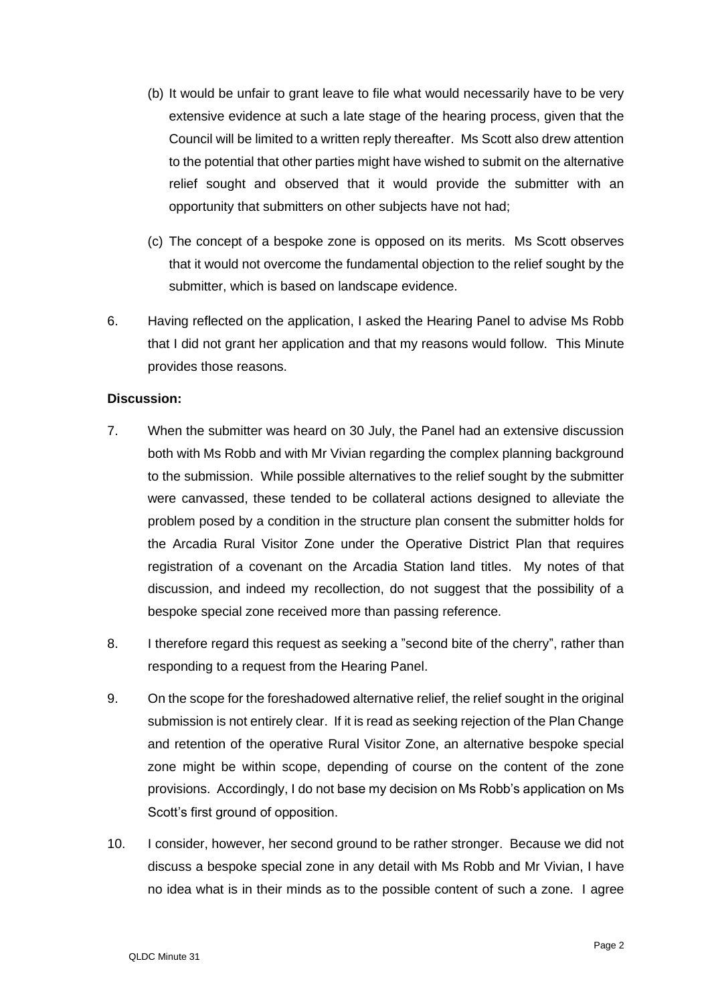- (b) It would be unfair to grant leave to file what would necessarily have to be very extensive evidence at such a late stage of the hearing process, given that the Council will be limited to a written reply thereafter. Ms Scott also drew attention to the potential that other parties might have wished to submit on the alternative relief sought and observed that it would provide the submitter with an opportunity that submitters on other subjects have not had;
- (c) The concept of a bespoke zone is opposed on its merits. Ms Scott observes that it would not overcome the fundamental objection to the relief sought by the submitter, which is based on landscape evidence.
- 6. Having reflected on the application, I asked the Hearing Panel to advise Ms Robb that I did not grant her application and that my reasons would follow. This Minute provides those reasons.

# **Discussion:**

- 7. When the submitter was heard on 30 July, the Panel had an extensive discussion both with Ms Robb and with Mr Vivian regarding the complex planning background to the submission. While possible alternatives to the relief sought by the submitter were canvassed, these tended to be collateral actions designed to alleviate the problem posed by a condition in the structure plan consent the submitter holds for the Arcadia Rural Visitor Zone under the Operative District Plan that requires registration of a covenant on the Arcadia Station land titles. My notes of that discussion, and indeed my recollection, do not suggest that the possibility of a bespoke special zone received more than passing reference.
- 8. I therefore regard this request as seeking a "second bite of the cherry", rather than responding to a request from the Hearing Panel.
- 9. On the scope for the foreshadowed alternative relief, the relief sought in the original submission is not entirely clear. If it is read as seeking rejection of the Plan Change and retention of the operative Rural Visitor Zone, an alternative bespoke special zone might be within scope, depending of course on the content of the zone provisions. Accordingly, I do not base my decision on Ms Robb's application on Ms Scott's first ground of opposition.
- 10. I consider, however, her second ground to be rather stronger. Because we did not discuss a bespoke special zone in any detail with Ms Robb and Mr Vivian, I have no idea what is in their minds as to the possible content of such a zone. I agree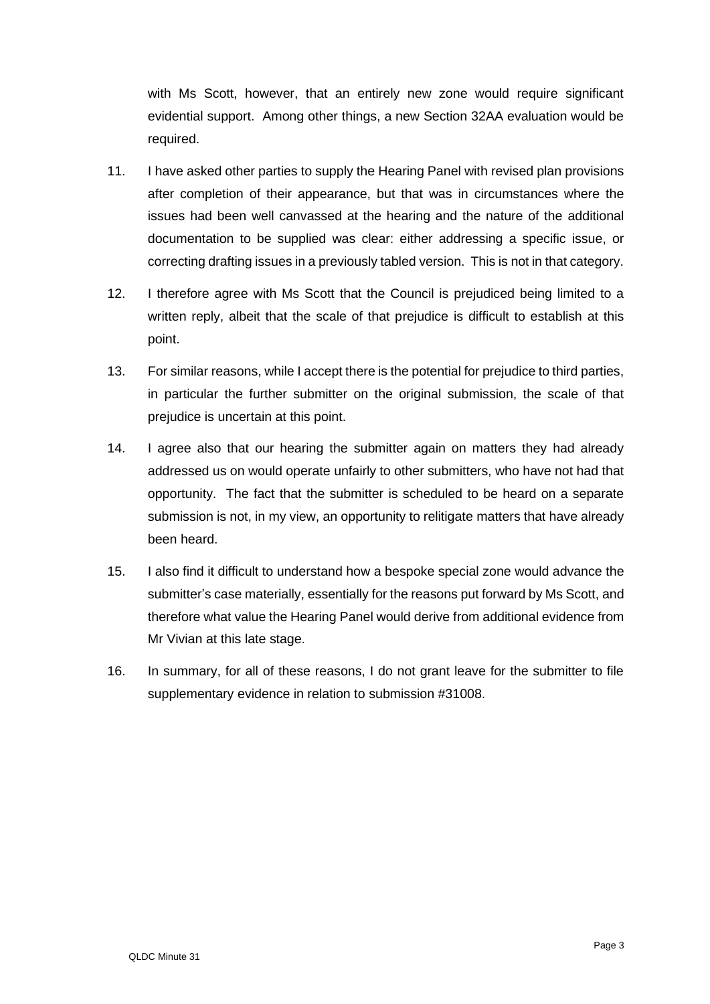with Ms Scott, however, that an entirely new zone would require significant evidential support. Among other things, a new Section 32AA evaluation would be required.

- 11. I have asked other parties to supply the Hearing Panel with revised plan provisions after completion of their appearance, but that was in circumstances where the issues had been well canvassed at the hearing and the nature of the additional documentation to be supplied was clear: either addressing a specific issue, or correcting drafting issues in a previously tabled version. This is not in that category.
- 12. I therefore agree with Ms Scott that the Council is prejudiced being limited to a written reply, albeit that the scale of that prejudice is difficult to establish at this point.
- 13. For similar reasons, while I accept there is the potential for prejudice to third parties, in particular the further submitter on the original submission, the scale of that prejudice is uncertain at this point.
- 14. I agree also that our hearing the submitter again on matters they had already addressed us on would operate unfairly to other submitters, who have not had that opportunity. The fact that the submitter is scheduled to be heard on a separate submission is not, in my view, an opportunity to relitigate matters that have already been heard.
- 15. I also find it difficult to understand how a bespoke special zone would advance the submitter's case materially, essentially for the reasons put forward by Ms Scott, and therefore what value the Hearing Panel would derive from additional evidence from Mr Vivian at this late stage.
- 16. In summary, for all of these reasons, I do not grant leave for the submitter to file supplementary evidence in relation to submission #31008.